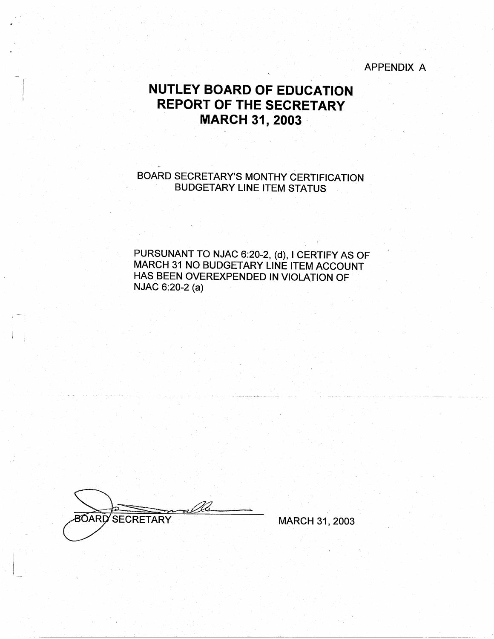#### APPENDIX A

# **NUTLEY BOARD OF EDUCATION REPORT OF THE SECRETARY MARCH 31, 2003**

BOARD SECRETARY'S MONTHY CERTIFICATION BUDGETARY LINE ITEM STATUS

PURSUNANT TO NJAC 6:20-2, (d), I CERTIFY AS OF MARCH 31 NO BUDGETARY LINE ITEM ACCOUNT HAS BEEN OVEREXPENDED IN VIOLATION OF NJAC 6:20-2 (a)

**BOARD SECRETARY** 

I

 $\mathbf{I}$ 

MARCH 31, 2003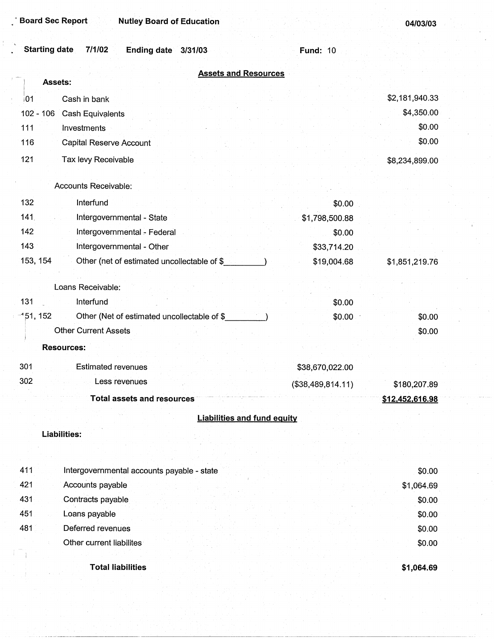| <b>Starting date</b><br>7/1/02<br><b>Ending date</b><br>3/31/03 | <b>Fund: 10</b> |                |
|-----------------------------------------------------------------|-----------------|----------------|
| <b>Assets and Resources</b>                                     |                 |                |
| Assets:                                                         |                 |                |
| Cash in bank<br> 01                                             |                 | \$2,181,940.33 |
| $102 - 106$<br>Cash Equivalents                                 |                 | \$4,350.00     |
| 111<br>Investments                                              |                 | \$0.00         |
| 116<br><b>Capital Reserve Account</b>                           |                 | \$0.00         |
| 121<br>Tax levy Receivable                                      |                 | \$8,234,899.00 |
| Accounts Receivable:                                            |                 |                |
| 132<br>Interfund                                                | \$0.00          |                |
| 141<br>Intergovernmental - State                                | \$1,798,500.88  |                |
| 142<br>Intergovernmental - Federal                              | \$0.00          |                |
| 143<br>Intergovernmental - Other                                | \$33,714.20     |                |
| 153, 154<br>Other (net of estimated uncollectable of \$         | \$19,004.68     | \$1,851,219.76 |
| Loans Receivable:                                               |                 |                |
| 131<br>Interfund                                                | \$0.00          |                |
| $-151, 152$<br>Other (Net of estimated uncollectable of \$      | \$0.00          | \$0.00         |

\$0.00 \$0.00

**Other Current Assets** 

**Resources:** 

| 301 | Estimated revenues         | \$38,670,022.00   |                 |
|-----|----------------------------|-------------------|-----------------|
| 302 | Less revenues              | (\$38,489,814.11) | \$180,207.89    |
|     | Total assets and resources |                   | \$12,452,616.98 |

# **Liabilities and fund equity**

#### **Liabilities:**

| 411 | Intergovernmental accounts payable - state | \$0.00     |
|-----|--------------------------------------------|------------|
| 421 | Accounts payable                           | \$1,064.69 |
| 431 | Contracts payable                          | \$0.00     |
| 451 | Loans payable                              | \$0.00     |
| 481 | Deferred revenues                          | \$0.00     |
|     | Other current liabilites                   | \$0.00     |
|     |                                            |            |
|     | <b>Total liabilities</b>                   | \$1,064.69 |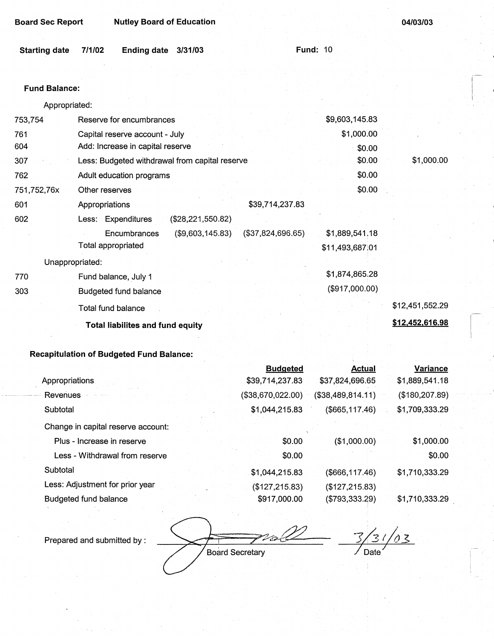| <b>Board Sec Report</b> |  | <b>Nutley Board of Education</b> |
|-------------------------|--|----------------------------------|

| Starting date 7/1/02 | Ending date 3/31/03 |  | <b>Fund: 10</b> |
|----------------------|---------------------|--|-----------------|
|                      |                     |  |                 |

#### **Fund Balance:**

Appropriated:

| 753,754         | Reserve for encumbrances                              | \$9,603,145.83  |                 |
|-----------------|-------------------------------------------------------|-----------------|-----------------|
| 761             | Capital reserve account - July                        | \$1,000.00      |                 |
| 604             | Add: Increase in capital reserve                      | \$0.00          |                 |
| 307             | Less: Budgeted withdrawal from capital reserve        | \$0.00          | \$1,000.00      |
| 762             | Adult education programs                              | \$0.00          |                 |
| 751,752,76x     | Other reserves                                        | \$0.00          |                 |
| 601             | \$39,714,237.83<br>Appropriations                     |                 |                 |
| 602             | Less: Expenditures<br>$(\$28,221,550.82)$             |                 |                 |
|                 | (\$9,603,145.83)<br>(\$37,824,696.65)<br>Encumbrances | \$1,889,541.18  |                 |
|                 | Total appropriated                                    | \$11,493,687.01 |                 |
| Unappropriated: |                                                       |                 |                 |
| 770             | Fund balance, July 1                                  | \$1,874,865.28  |                 |
| 303             | Budgeted fund balance                                 | (\$917,000.00)  |                 |
|                 | Total fund balance                                    |                 | \$12,451,552.29 |
|                 | <b>Total liabilites and fund equity</b>               |                 | \$12,452,616.98 |
|                 |                                                       |                 |                 |

# **Recapitulation of Budgeted Fund Balance:**

|                                    | <b>Budgeted</b>   | <b>Actual</b>     | <b>Variance</b> |
|------------------------------------|-------------------|-------------------|-----------------|
| Appropriations                     | \$39,714,237.83   | \$37,824,696.65   | \$1,889,541.18  |
| Revenues                           | (\$38,670,022.00) | (\$38,489,814.11) | (\$180, 207.89) |
| Subtotal                           | \$1,044,215.83    | (\$665, 117.46)   | \$1,709,333.29  |
| Change in capital reserve account: |                   |                   |                 |
| Plus - Increase in reserve         | \$0.00            | (\$1,000.00)      | \$1,000.00      |
| Less - Withdrawal from reserve     | \$0.00            |                   | \$0.00          |
| Subtotal                           | \$1,044,215.83    | $($ \$666,117.46) | \$1,710,333.29  |
| Less: Adjustment for prior year    | (\$127,215.83)    | (\$127, 215.83)   |                 |
| Budgeted fund balance              | \$917,000.00      | (\$793,333.29)    | \$1,710,333.29  |

Prepared and submitted by :

D to k Board Secretary

 $\frac{3}{2}/\frac{3}{2}/\frac{0}{2}$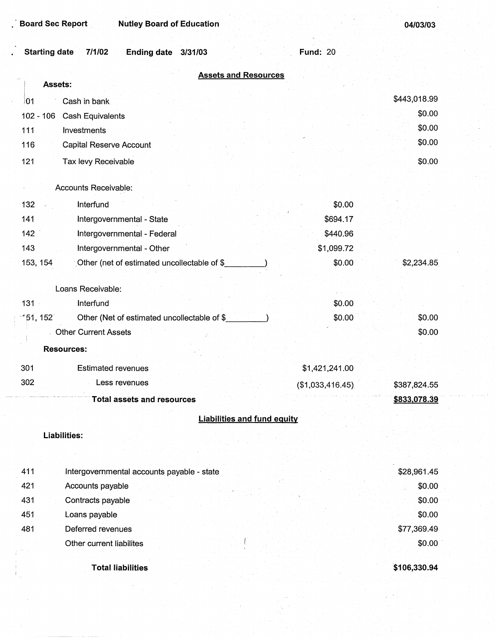| <b>Board Sec Report</b><br><b>Nutley Board of Education</b>          |                  | 04/03/03     |
|----------------------------------------------------------------------|------------------|--------------|
| <b>Starting date</b><br>7/1/02<br><b>Ending date</b><br>3/31/03      | <b>Fund: 20</b>  |              |
| <b>Assets and Resources</b>                                          |                  |              |
| <b>Assets:</b>                                                       |                  |              |
| Cash in bank<br>101                                                  |                  | \$443,018.99 |
| $102 - 106$<br><b>Cash Equivalents</b>                               |                  | \$0.00       |
| 111<br>Investments                                                   |                  | \$0.00       |
| 116<br><b>Capital Reserve Account</b>                                |                  | \$0.00       |
| 121<br>Tax levy Receivable                                           |                  | \$0.00       |
|                                                                      |                  |              |
| Accounts Receivable:                                                 |                  |              |
| 132<br>Interfund                                                     | \$0.00           |              |
| 141<br>Intergovernmental - State                                     | \$694.17         |              |
| 142<br>Intergovernmental - Federal                                   | \$440.96         |              |
| 143<br>Intergovernmental - Other                                     | \$1,099.72       |              |
| 153, 154<br>Other (net of estimated uncollectable of \$              | \$0.00           | \$2,234.85   |
| Loans Receivable:                                                    |                  |              |
| $131 -$<br>Interfund                                                 | \$0.00           |              |
| Other (Net of estimated uncollectable of \$<br>151, 152 <sup>-</sup> | \$0.00           | \$0.00       |
| <b>Other Current Assets</b>                                          |                  | \$0.00       |
| <b>Resources:</b>                                                    |                  |              |
| 301<br><b>Estimated revenues</b>                                     | \$1,421,241.00   |              |
| 302<br>Less revenues                                                 | (\$1,033,416.45) | \$387,824.55 |
| <b>Total assets and resources</b>                                    |                  | \$833,078.39 |
| <b>Liabilities and fund equity</b>                                   |                  |              |
| <b>Liabilities:</b>                                                  |                  |              |
|                                                                      |                  |              |
|                                                                      |                  |              |
| 411<br>Intergovernmental accounts payable - state                    |                  | \$28,961.45  |
| 421<br>Accounts payable                                              |                  | \$0.00       |
| 431<br>Contracts payable                                             |                  | \$0.00       |
| 451<br>Loans payable                                                 |                  | \$0.00       |
| 481<br>Deferred revenues                                             |                  | \$77,369.49  |
| Other current liabilites                                             |                  | \$0.00       |

**Total liabilities** 

**\$106,330.94**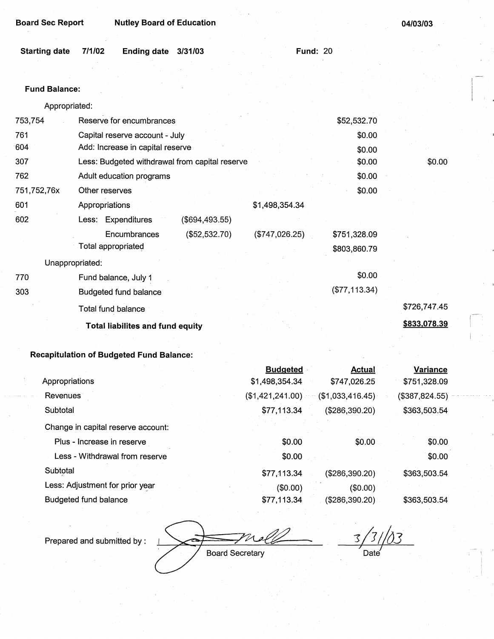| <b>Board Sec Report</b> | <b>Nutley Board of Education</b>                |                                      |                 |  |
|-------------------------|-------------------------------------------------|--------------------------------------|-----------------|--|
| <b>Starting date</b>    | 7/1/02<br>Ending date<br>3/31/03                | <b>Fund: 20</b>                      |                 |  |
|                         |                                                 |                                      |                 |  |
| <b>Fund Balance:</b>    |                                                 |                                      |                 |  |
| Appropriated:           |                                                 |                                      |                 |  |
| 753,754                 | Reserve for encumbrances                        | \$52,532.70                          |                 |  |
| 761                     | Capital reserve account - July                  | \$0.00                               |                 |  |
| 604                     | Add: Increase in capital reserve                | \$0.00                               |                 |  |
| 307                     | Less: Budgeted withdrawal from capital reserve  | \$0.00                               | \$0.00          |  |
| 762                     | Adult education programs                        | \$0.00                               |                 |  |
| 751,752,76x             | Other reserves                                  | \$0.00                               |                 |  |
| 601                     | Appropriations                                  | \$1,498,354.34                       |                 |  |
| 602                     | Less: Expenditures<br>(\$694,493.55)            |                                      |                 |  |
|                         | Encumbrances<br>(\$52,532.70)                   | (\$747,026.25)<br>\$751,328.09       |                 |  |
|                         | <b>Total appropriated</b>                       | \$803,860.79                         |                 |  |
|                         | Unappropriated:                                 |                                      |                 |  |
| 770                     | Fund balance, July 1                            | \$0.00                               |                 |  |
| 303                     | <b>Budgeted fund balance</b>                    | (\$77,113.34)                        |                 |  |
|                         | Total fund balance                              |                                      | \$726,747.45    |  |
|                         | <b>Total liabilites and fund equity</b>         |                                      | \$833,078.39    |  |
|                         |                                                 |                                      |                 |  |
|                         | <b>Recapitulation of Budgeted Fund Balance:</b> |                                      |                 |  |
|                         |                                                 | <b>Budgeted</b><br><b>Actual</b>     | <b>Variance</b> |  |
| Appropriations          |                                                 | \$1,498,354.34<br>\$747,026.25       | \$751,328.09    |  |
| Revenues                |                                                 | (\$1,421,241.00)<br>(\$1,033,416.45) | (\$387, 824.55) |  |
| Subtotal                |                                                 | \$77,113.34<br>(\$286,390.20)        | \$363,503.54    |  |

Change in capital reserve account: Plus - Increase in reserve Less - Withdrawal from reserve Subtotal

Less: Adjustment for prior year Budgeted fund balance

**Board Secretary** 

\$0.00 \$0.00

\$77,113.34

(\$0.00) \$77,113.34

*3/J//o3 ~)*  Date

\$0.00

\$0.00 \$0.00

\$363,503.54

\$363,503.54

(\$0.00)

(\$286,390.20)

(\$286,390.20)

Prepared and submitted by :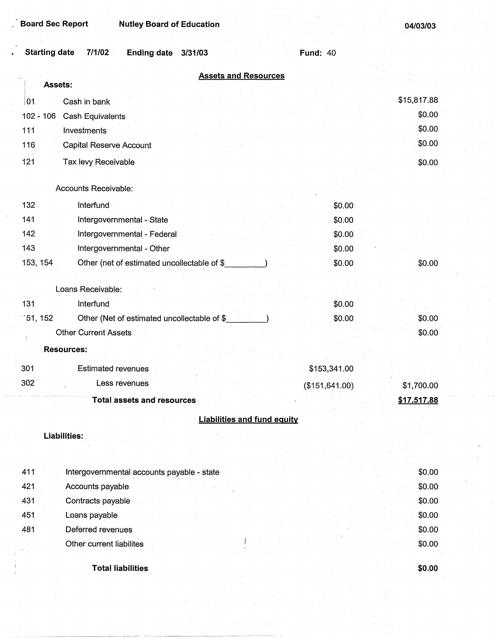**\$0.00** 

| <b>Starting date</b><br>7/1/02<br><b>Ending date</b><br>3/31/03 | <b>Fund: 40</b> |                  |
|-----------------------------------------------------------------|-----------------|------------------|
| <b>Assets and Resources</b><br>Assets:                          |                 |                  |
| 101<br>Cash in bank                                             |                 | \$15,817.88      |
| $102 - 106$<br><b>Cash Equivalents</b>                          |                 | \$0.00           |
| 111<br>Investments                                              |                 | \$0.00           |
| 116<br><b>Capital Reserve Account</b>                           |                 | \$0.00           |
| 121<br>Tax levy Receivable                                      |                 | \$0.00           |
|                                                                 |                 |                  |
| Accounts Receivable:                                            |                 |                  |
| 132<br>Interfund                                                | \$0.00          |                  |
| 141<br>Intergovernmental - State                                | \$0.00          |                  |
| 142<br>Intergovernmental - Federal                              | \$0.00          |                  |
| 143<br>Intergovernmental - Other                                | \$0.00          |                  |
| 153, 154<br>Other (net of estimated uncollectable of \$         | \$0.00          | \$0.00           |
|                                                                 |                 |                  |
| Loans Receivable:                                               |                 |                  |
| 131<br>Interfund                                                | \$0.00          |                  |
| 51, 152<br>Other (Net of estimated uncollectable of \$          | \$0.00          | \$0.00           |
| <b>Other Current Assets</b>                                     |                 | \$0.00           |
| <b>Resources:</b>                                               |                 |                  |
| 301<br><b>Estimated revenues</b>                                | \$153,341.00    |                  |
| 302<br>Less revenues                                            | (\$151, 641.00) | \$1,700.00       |
| <b>Total assets and resources</b>                               |                 | \$17,517.88      |
| <b>Liabilities and fund equity</b>                              |                 |                  |
| <b>Liabilities:</b>                                             |                 |                  |
|                                                                 |                 |                  |
|                                                                 |                 |                  |
| 411<br>Intergovernmental accounts payable - state               |                 | \$0.00           |
| 421<br>Accounts payable                                         |                 | \$0.00           |
| 431<br>Contracts payable                                        |                 | \$0.00           |
| 451<br>Loans payable<br>481                                     |                 | \$0.00<br>\$0.00 |
| Deferred revenues<br>Other current liabilites                   |                 | \$0.00           |
|                                                                 |                 |                  |

**Total liabilities**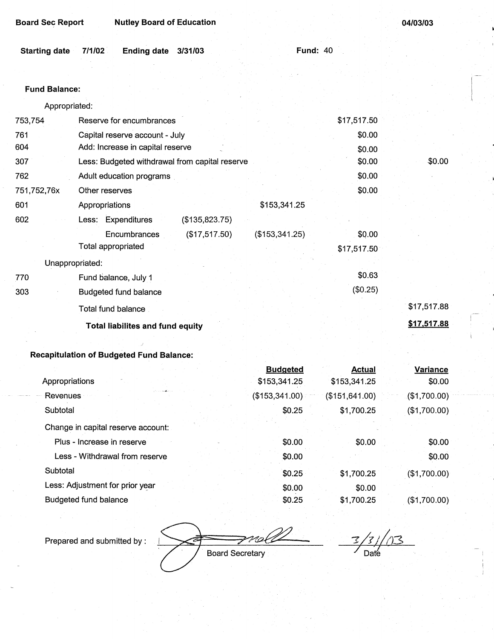| <b>Board Sec Report</b> |        | <b>Nutley Board of Education</b> |         |  | 04/03/03        |  |
|-------------------------|--------|----------------------------------|---------|--|-----------------|--|
|                         |        |                                  |         |  |                 |  |
| <b>Starting date</b>    | 7/1/02 | <b>Ending date</b>               | 3/31/03 |  | <b>Fund: 40</b> |  |
|                         |        |                                  |         |  |                 |  |

#### **Fund Balance:**

Appropriated:

| 753,754     | Reserve for encumbrances                       |                | \$17,517.50 |             |
|-------------|------------------------------------------------|----------------|-------------|-------------|
| 761         | Capital reserve account - July                 | \$0.00         |             |             |
| 604         | Add: Increase in capital reserve               |                | \$0.00      |             |
| 307         | Less: Budgeted withdrawal from capital reserve |                | \$0.00      | \$0.00      |
| 762         | Adult education programs                       |                | \$0.00      |             |
| 751,752,76x | Other reserves                                 |                | \$0.00      |             |
| 601         | Appropriations                                 | \$153,341.25   |             |             |
| 602         | Less: Expenditures<br>(\$135,823.75)           |                |             |             |
|             | (\$17,517.50)<br>Encumbrances                  | (\$153,341.25) | \$0.00      |             |
|             | Total appropriated                             |                | \$17,517.50 |             |
|             | Unappropriated:                                |                |             |             |
| 770         | Fund balance, July 1                           |                | \$0.63      |             |
| 303         | <b>Budgeted fund balance</b>                   |                | (\$0.25)    |             |
|             | Total fund balance                             |                |             | \$17,517.88 |
|             | <b>Total liabilites and fund equity</b>        |                |             | \$17,517.88 |
|             |                                                |                |             |             |

# **Recapitulation of Budgeted Fund Balance:**

|                                    | <b>Budgeted</b> | <b>Actual</b>   | Variance        |
|------------------------------------|-----------------|-----------------|-----------------|
| Appropriations                     | \$153,341.25    | \$153,341.25    | \$0.00          |
| Revenues                           | (\$153,341.00)  | (\$151, 641.00) | $($ \$1,700.00) |
| Subtotal                           | \$0.25          | \$1,700.25      | (\$1,700.00)    |
| Change in capital reserve account: |                 |                 |                 |
| Plus - Increase in reserve         | \$0.00          | \$0.00          | \$0.00          |
| Less - Withdrawal from reserve     | \$0.00          |                 | \$0.00          |
| Subtotal                           | \$0.25          | \$1,700.25      | (\$1,700.00)    |
| Less: Adjustment for prior year    | \$0.00          | \$0.00          |                 |
| Budgeted fund balance              | \$0.25          | \$1,700.25      | (\$1,700.00)    |

Prepared and submitted by :

Plot T **Board Secretary** 

*5/2/03*  Date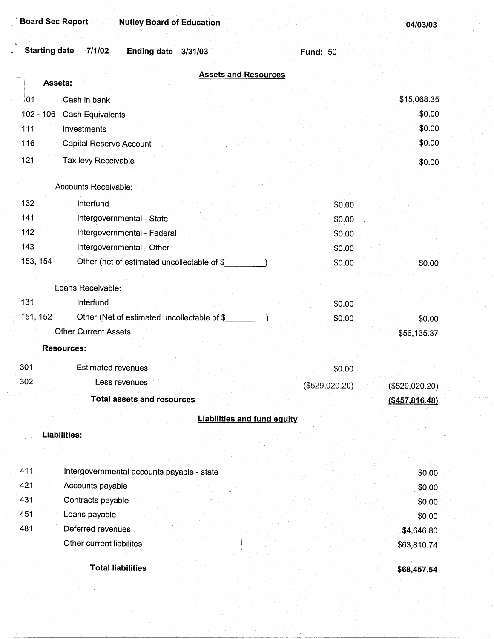| <b>Starting date</b>                  | 7/1/02<br>Ending date 3/31/03                | <b>Fund: 50</b> |                   |
|---------------------------------------|----------------------------------------------|-----------------|-------------------|
|                                       | <b>Assets and Resources</b>                  |                 |                   |
| Assets:                               |                                              |                 |                   |
| 01                                    | Cash in bank                                 |                 | \$15,068.35       |
| $102 - 106$                           | Cash Equivalents                             |                 | \$0.00            |
| 111<br>Investments                    |                                              |                 | \$0.00            |
| 116                                   | Capital Reserve Account                      |                 | \$0.00            |
| 121                                   | Tax levy Receivable                          |                 | \$0.00            |
|                                       | Accounts Receivable:                         |                 |                   |
| 132                                   | Interfund                                    | \$0.00          |                   |
| 141                                   | Intergovernmental - State                    | \$0.00          |                   |
| 142                                   | Intergovernmental - Federal                  | \$0.00          |                   |
| 143                                   | Intergovernmental - Other                    | \$0.00          |                   |
| 153, 154                              | Other (net of estimated uncollectable of \$  | \$0.00          | \$0.00            |
|                                       | Loans Receivable:                            |                 |                   |
| 131                                   | Interfund                                    | \$0.00          |                   |
| $-151, 152$                           | Other (Net of estimated uncollectable of \$_ | \$0.00          | \$0.00            |
|                                       | <b>Other Current Assets</b>                  |                 | \$56,135.37       |
| <b>Resources:</b>                     |                                              |                 |                   |
| 301                                   | <b>Estimated revenues</b>                    | \$0.00          |                   |
| 302                                   | Less revenues                                | (\$529,020.20)  | (\$529,020.20)    |
| the manager company of the company of | Total assets and resources                   |                 | $($ \$457,816.48) |
|                                       | <b>Liabilities and fund equity</b>           |                 |                   |
| <b>Liabilities:</b>                   |                                              |                 |                   |
|                                       |                                              |                 |                   |
| 411                                   | Intergovernmental accounts payable - state   |                 | \$0.00            |
| 421                                   | Accounts payable                             |                 | \$0.00            |
| 431                                   | Contracts payable                            |                 | \$0.00            |
| 451                                   | Loans payable                                |                 | \$0.00            |
| 481                                   | Deferred revenues                            |                 | \$4,646.80        |
|                                       | Other current liabilites                     |                 | \$63,810.74       |
|                                       | <b>Total liabilities</b>                     |                 | \$68,457.54       |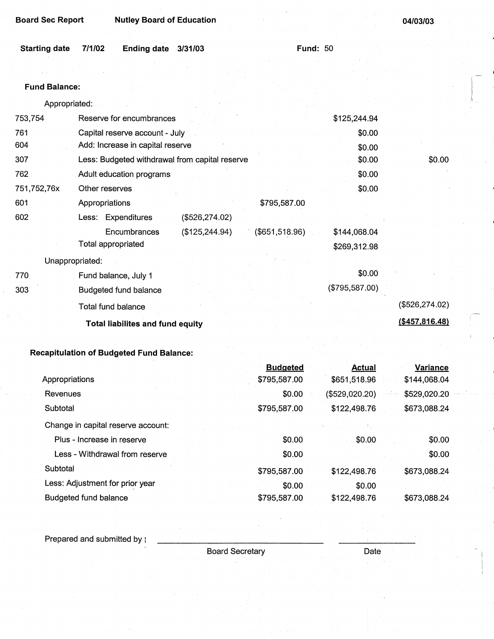**Board Sec Report Mutley Board of Education <b>by Community** 2016 **194/03/03** 

| Starting date 7/1/02 | Ending date 3/31/03 |  | <b>Fund: 50</b> |
|----------------------|---------------------|--|-----------------|
|                      |                     |  |                 |

# **Fund Balance:** I

Appropriated: . l

| 761<br>Capital reserve account - July<br>\$0.00                   |                  |
|-------------------------------------------------------------------|------------------|
|                                                                   |                  |
| 604<br>Add: Increase in capital reserve<br>\$0.00                 |                  |
| 307<br>\$0.00<br>Less: Budgeted withdrawal from capital reserve   | \$0.00           |
| \$0.00<br>762<br>Adult education programs                         |                  |
| 751,752,76x<br>\$0.00<br>Other reserves                           |                  |
| 601<br>\$795,587.00<br>Appropriations                             |                  |
| 602<br>Less: Expenditures<br>(\$526, 274.02)                      |                  |
| (\$651,518.96)<br>Encumbrances<br>(\$125, 244.94)<br>\$144,068.04 |                  |
| Total appropriated<br>\$269,312.98                                |                  |
| Unappropriated:                                                   |                  |
| \$0.00<br>770<br>Fund balance, July 1                             |                  |
| (\$795,587.00)<br>303<br><b>Budgeted fund balance</b>             |                  |
| Total fund balance                                                | (\$526, 274.02)  |
| <b>Total liabilites and fund equity</b>                           | ( \$457, 816.48) |

# **Recapitulation of Budgeted** Fund **Balance:**

|                                    | <b>Budgeted</b> | Actual         | Variance     |
|------------------------------------|-----------------|----------------|--------------|
| Appropriations                     | \$795,587.00    | \$651,518.96   | \$144,068.04 |
| Revenues                           | \$0.00          | (\$529,020.20) | \$529,020.20 |
| Subtotal                           | \$795,587.00    | \$122,498.76   | \$673,088.24 |
| Change in capital reserve account: |                 |                |              |
| Plus - Increase in reserve         | \$0.00          | \$0.00         | \$0.00       |
| Less - Withdrawal from reserve     | \$0.00          |                | \$0.00       |
| Subtotal                           | \$795,587.00    | \$122,498.76   | \$673,088.24 |
| Less: Adjustment for prior year    | \$0.00          | \$0.00         |              |
| Budgeted fund balance              | \$795,587.00    | \$122,498.76   | \$673,088.24 |

Prepared and submitted by  $\text{ }i$ 

Board Secretary **Date**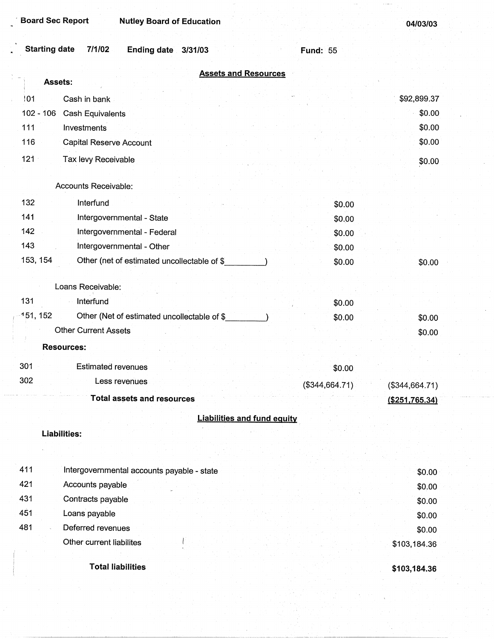| Starting date 7/1/02 | Ending date 3/31/03 |  | <b>Fund: 55</b> |
|----------------------|---------------------|--|-----------------|
|                      |                     |  |                 |

|             | <b>Assets and Resources</b><br>Assets:      |                |                |
|-------------|---------------------------------------------|----------------|----------------|
| 101         | Cash in bank                                |                | \$92,899.37    |
| $102 - 106$ | Cash Equivalents                            |                | \$0.00         |
| 111         | Investments                                 |                | \$0.00         |
| 116         | <b>Capital Reserve Account</b>              |                | \$0.00         |
| 121         | Tax levy Receivable                         |                | \$0.00         |
|             |                                             |                |                |
|             | Accounts Receivable:                        |                |                |
| 132         | Interfund                                   | \$0.00         |                |
| 141         | Intergovernmental - State                   | \$0.00         |                |
| 142         | Intergovernmental - Federal                 | \$0.00         |                |
| 143         | Intergovernmental - Other                   | \$0.00         |                |
| 153, 154    | Other (net of estimated uncollectable of \$ | \$0.00         | \$0.00         |
|             |                                             |                |                |
|             | Loans Receivable:                           |                |                |
| 131         | Interfund                                   | \$0.00         |                |
| 151, 152    | Other (Net of estimated uncollectable of \$ | \$0.00         | \$0.00         |
|             | <b>Other Current Assets</b>                 |                | \$0.00         |
|             | <b>Resources:</b>                           |                |                |
| 301         | Estimated revenues                          | \$0.00         |                |
| 302         | Less revenues                               | (\$344,664.71) |                |
|             | <b>Total assets and resources</b>           |                | (\$344,664.71) |
|             |                                             |                | (\$251,765.34) |
|             | <b>Liabilities and fund equity</b>          |                |                |
|             | <b>Liabilities:</b>                         |                |                |
|             |                                             |                |                |
| 411         | Intergovernmental accounts payable - state  |                | \$0.00         |
| 421         | Accounts payable                            |                | \$0.00         |
| 431         | Contracts payable                           |                | \$0.00         |
| 451         | Loans payable                               |                | \$0.00         |
| 481         | Deferred revenues                           |                | \$0.00         |
|             | Other current liabilites                    |                | \$103,184.36   |
|             |                                             |                |                |

**Total liabilities** 

**\$103, 184.36**